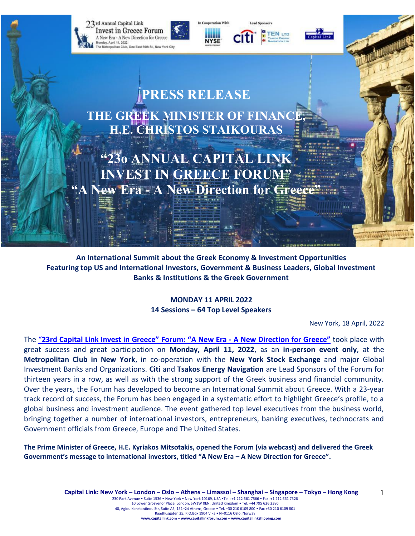

**An International Summit about the Greek Economy & Investment Opportunities Featuring top US and International Investors, Government & Business Leaders, Global Investment Banks & Institutions & the Greek Government**

> **MONDAY 11 APRIL 2022 14 Sessions – 64 Top Level Speakers**

> > New York, 18 April, 2022

The "**[23rd Capital Link Invest in Greece"](https://forums.capitallink.com/greece/2021/) Forum: "A New Era - A New Direction for Greece"** took place with great success and great participation on **Monday, April 11, 2022**, as an **in-person event only**, at the **Metropolitan Club in New York**, in co-operation with the **New York Stock Exchange** and major Global Investment Banks and Organizations. **Citi** and **Tsakos Energy Navigation** are Lead Sponsors of the Forum for thirteen years in a row, as well as with the strong support of the Greek business and financial community. Over the years, the Forum has developed to become an International Summit about Greece. With a 23-year track record of success, the Forum has been engaged in a systematic effort to highlight Greece's profile, to a global business and investment audience. The event gathered top level executives from the business world, bringing together a number of international investors, entrepreneurs, banking executives, technocrats and Government officials from Greece, Europe and The United States.

**The Prime Minister of Greece, H.E. Kyriakos Mitsotakis, opened the Forum (via webcast) and delivered the Greek Government's message to international investors, titled "A New Era – A New Direction for Greece".**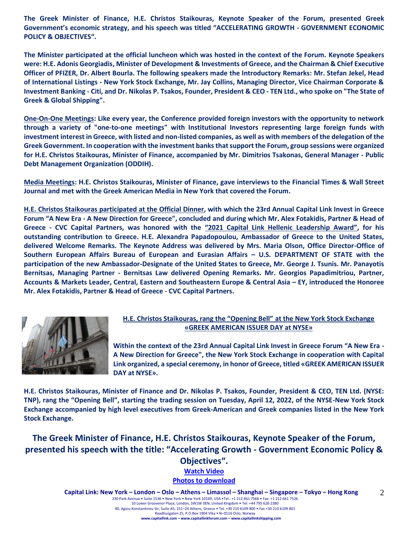**The Greek Minister of Finance, H.E. Christos Staikouras, Keynote Speaker of the Forum, presented Greek Government's economic strategy, and his speech was titled "ACCELERATING GROWTH - GOVERNMENT ECONOMIC POLICY & OBJECTIVES".**

**The Minister participated at the official luncheon which was hosted in the context of the Forum. Keynote Speakers were: H.E. Adonis Georgiadis, Minister of Development & Investments of Greece, and the Chairman & Chief Executive Officer of PFIZER, Dr. Albert Bourla. The following speakers made the Introductory Remarks: Mr. Stefan Jekel, Head of International Listings - New York Stock Exchange, Mr. Jay Collins, Managing Director, Vice Chairman Corporate & Investment Banking - Citi, and Dr. Nikolas P. Tsakos, Founder, President & CEO - TEN Ltd., who spoke on "The State of Greek & Global Shipping".**

**One-On-One Meetings: Like every year, the Conference provided foreign investors with the opportunity to network through a variety of "one-to-one meetings" with Institutional Investors representing large foreign funds with investment interest in Greece, with listed and non-listed companies, as well as with members of the delegation of the Greek Government. In cooperation with the investment banks that support the Forum, group sessions were organized for H.E. Christos Staikouras, Minister of Finance, accompanied by Mr. Dimitrios Tsakonas, General Manager - Public Debt Management Organization (ODDIH).**

**Media Meetings: H.E. Christos Staikouras, Minister of Finance, gave interviews to the Financial Times & Wall Street Journal and met with the Greek American Media in New York that covered the Forum.**

**H.E. Christos Staikouras participated at the Official Dinner, with which the 23rd Annual Capital Link Invest in Greece Forum "A New Era - A New Direction for Greece", concluded and during which Mr. Alex Fotakidis, Partner & Head of Greece - CVC Capital Partners, was honored with the "2021 Capital Link Hellenic Leadership Award", for his outstanding contribution to Greece. H.E. Alexandra Papadopoulou, Ambassador of Greece to the United States, delivered Welcome Remarks. The Keynote Address was delivered by Mrs. Maria Olson, Office Director-Office of Southern European Affairs Bureau of European and Eurasian Affairs – U.S. DEPARTMENT OF STATE with the participation of the new Ambassador-Designate of the United States to Greece, Mr. George J. Tsunis. Mr. Panayotis Bernitsas, Managing Partner - Bernitsas Law delivered Opening Remarks. Mr. Georgios Papadimitriou, Partner, Accounts & Markets Leader, Central, Eastern and Southeastern Europe & Central Asia – EY, introduced the Honoree Mr. Alex Fotakidis, Partner & Head of Greece - CVC Capital Partners.**



## **H.E. Christos Staikouras, rang the "Opening Bell" at the New York Stock Exchange «GREEK AMERICAN ISSUER DAY at NYSE»**

**Within the context of the 23rd Annual Capital Link Invest in Greece Forum "A New Era - A New Direction for Greece", the New York Stock Exchange in cooperation with Capital Link organized, a special ceremony, in honor of Greece, titled «GREEK AMERICAN ISSUER DAY at NYSE».**

**H.E. Christos Staikouras, Minister of Finance and Dr. Nikolas P. Tsakos, Founder, President & CEO, TEN Ltd. (NYSE: TNP), rang the "Opening Bell", starting the trading session on Tuesday, April 12, 2022, of the NYSE-New York Stock Exchange accompanied by high level executives from Greek-American and Greek companies listed in the New York Stock Exchange.**

**The Greek Minister of Finance, H.E. Christos Staikouras, Keynote Speaker of the Forum, presented his speech with the title: "Accelerating Growth - Government Economic Policy & Objectives". [Watch Video](https://www.youtube.com/watch?v=KHa_hRU3uFA)**

**[Photos to download](https://forums.capitallink.com/greece/2021/images/zip/MINISTER-STAIKOURAS.zip)**

**Capital Link: New York – London – Oslo – Athens – Limassol – Shanghai – Singapore – Tokyo – Hong Kong**  230 Park Avenue • Suite 1536 • New York • New York 10169, USA •Tel.: +1 212 661 7566 • Fax: +1 212 661 7526 10 Lower Grosvenor Place, London, SW1W 0EN, United Kingdom • Tel: +44 795 626 2380 40, Agiou Konstantinou Str, Suite A5, 151–24 Athens, Greece • Tel. +30 210 6109 800 • Fax +30 210 6109 801 Raadhusgaten 25, P.O.Box 1904 Vika • N–0116 Oslo, Norway **www.capitallink.com – www.capitallinkforum.com – www.capitallinkshipping.com** 2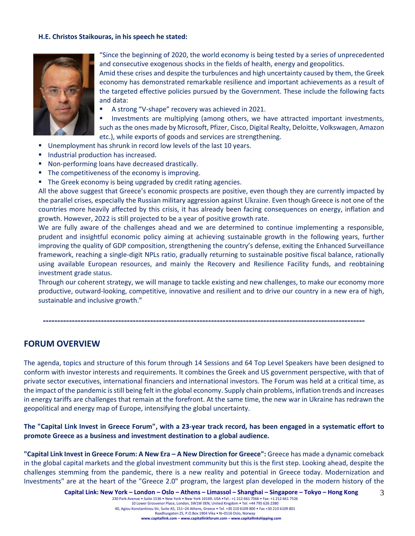#### **H.E. Christos Staikouras, in his speech he stated:**



"Since the beginning of 2020, the world economy is being tested by a series of unprecedented and consecutive exogenous shocks in the fields of health, energy and geopolitics.

Amid these crises and despite the turbulences and high uncertainty caused by them, the Greek economy has demonstrated remarkable resilience and important achievements as a result of the targeted effective policies pursued by the Government. These include the following facts and data:

A strong "V-shape" recovery was achieved in 2021.

Investments are multiplying (among others, we have attracted important investments, such as the ones made by Microsoft, Pfizer, Cisco, Digital Realty, Deloitte, Volkswagen, Amazon etc.), while exports of goods and services are strengthening.

- Unemployment has shrunk in record low levels of the last 10 years.
- Industrial production has increased.
- Non-performing loans have decreased drastically.
- The competitiveness of the economy is improving.
- **The Greek economy is being upgraded by credit rating agencies.**

All the above suggest that Greece's economic prospects are positive, even though they are currently impacted by the parallel crises, especially the Russian military aggression against Ukraine. Even though Greece is not one of the countries more heavily affected by this crisis, it has already been facing consequences on energy, inflation and growth. However, 2022 is still projected to be a year of positive growth rate.

We are fully aware of the challenges ahead and we are determined to continue implementing a responsible, prudent and insightful economic policy aiming at achieving sustainable growth in the following years, further improving the quality of GDP composition, strengthening the country's defense, exiting the Enhanced Surveillance framework, reaching a single-digit NPLs ratio, gradually returning to sustainable positive fiscal balance, rationally using available European resources, and mainly the Recovery and Resilience Facility funds, and reobtaining investment grade status.

Through our coherent strategy, we will manage to tackle existing and new challenges, to make our economy more productive, outward-looking, competitive, innovative and resilient and to drive our country in a new era of high, sustainable and inclusive growth."

# **FORUM OVERVIEW**

The agenda, topics and structure of this forum through 14 Sessions and 64 Top Level Speakers have been designed to conform with investor interests and requirements. It combines the Greek and US government perspective, with that of private sector executives, international financiers and international investors. The Forum was held at a critical time, as the impact of the pandemic is still being felt in the global economy. Supply chain problems, inflation trends and increases in energy tariffs are challenges that remain at the forefront. At the same time, the new war in Ukraine has redrawn the geopolitical and energy map of Europe, intensifying the global uncertainty.

**---------------------------------------------------------------------------------------------------------------**

**The "Capital Link Invest in Greece Forum", with a 23-year track record, has been engaged in a systematic effort to promote Greece as a business and investment destination to a global audience.**

**"Capital Link Invest in Greece Forum: A New Era – A New Direction for Greece":** Greece has made a dynamic comeback in the global capital markets and the global investment community but this is the first step. Looking ahead, despite the challenges stemming from the pandemic, there is a new reality and potential in Greece today. Modernization and Investments" are at the heart of the "Greece 2.0" program, the largest plan developed in the modern history of the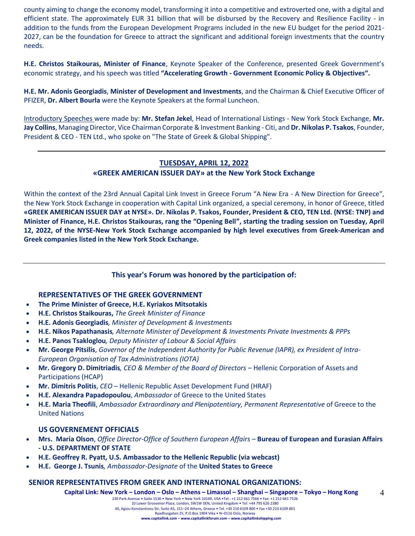county aiming to change the economy model, transforming it into a competitive and extroverted one, with a digital and efficient state. The approximately EUR 31 billion that will be disbursed by the Recovery and Resilience Facility - in addition to the funds from the European Development Programs included in the new EU budget for the period 2021- 2027, can be the foundation for Greece to attract the significant and additional foreign investments that the country needs.

**H.E. Christos Staikouras, Minister of Finance**, Keynote Speaker of the Conference, presented Greek Government's economic strategy, and his speech was titled **"Accelerating Growth - Government Economic Policy & Objectives".**

**H.E. Mr. Adonis Georgiadis**, **Minister of Development and Investments**, and the Chairman & Chief Executive Officer of PFIZER, **Dr. Albert Bourla** were the Keynote Speakers at the formal Luncheon.

Introductory Speeches were made by: **Mr. Stefan Jekel**, Head of International Listings - New York Stock Exchange, **Mr. Jay Collins**, Managing Director, Vice Chairman Corporate & Investment Banking - Citi, and **Dr. Nikolas P. Tsakos**, Founder, President & CEO - TEN Ltd., who spoke on "The State of Greek & Global Shipping".

# **TUESDSAY, APRIL 12, 2022 «GREEK AMERICAN ISSUER DAY» at the New York Stock Exchange**

Within the context of the 23rd Annual Capital Link Invest in Greece Forum "A New Era - A New Direction for Greece", the New York Stock Exchange in cooperation with Capital Link organized, a special ceremony, in honor of Greece, titled **«GREEK AMERICAN ISSUER DAY at NYSE». Dr. Nikolas P. Tsakos, Founder, President & CEO, TEN Ltd. (NYSE: TNP) and Minister of Finance, H.E. Christos Staikouras, rang the "Opening Bell", starting the trading session on Tuesday, April 12, 2022, of the NYSE-New York Stock Exchange accompanied by high level executives from Greek-American and Greek companies listed in the New York Stock Exchange.**

# **This year's Forum was honored by the participation of:**

## **REPRESENTATIVES OF THE GREEK GOVERNMENT**

- **The Prime Minister of Greece, H.E. Kyriakos Mitsotakis**
- **H.E. Christos Staikouras,** *The Greek Minister of Finance*
- **H.E. Adonis Georgiadis***, Minister of Development & Investments*
- **Η.Ε. Nikos Papathanasis***, Alternate Minister of Development & Investments Private Investments & PPPs*
- **H.E. Panos Tsakloglou***, Deputy Minister of Labour & Social Affairs*
- **Mr. George Pitsilis**, *Governor of the Independent Authority for Public Revenue (IAPR), ex President of Intra-European Organisation of Tax Administrations (IOTA)*
- **Mr. Gregory D. Dimitriadis***, CEO & Member of the Board of Directors –* Hellenic Corporation of Assets and Participations (HCAP)
- **Mr. Dimitris Politis**, *CEO* Hellenic Republic Asset Development Fund (HRAF)
- **H.E. Alexandra Papadopoulou**, *Ambassador* of Greece to the United States
- **H.E. Maria Theofili**, *Ambassador Extraordinary and Plenipotentiary, Permanent Representative* of Greece to the United Nations

## **US GOVERNEMENT OFFICIALS**

- **Mrs. Maria Olson**, *Office Director-Office of Southern European Affairs –* **Bureau of European and Eurasian Affairs - U.S. DEPARTMENT OF STATE**
- **H.E. Geoffrey R. Pyatt, U.S. Ambassador to the Hellenic Republic (via webcast)**
- **H.E. George J. Tsunis***, Ambassador-Designate* of the **United States to Greece**

## **SENIOR REPRESENTATIVES FROM GREEK AND INTERNATIONAL ORGANIZATIONS:**

**Capital Link: New York – London – Oslo – Athens – Limassol – Shanghai – Singapore – Tokyo – Hong Kong**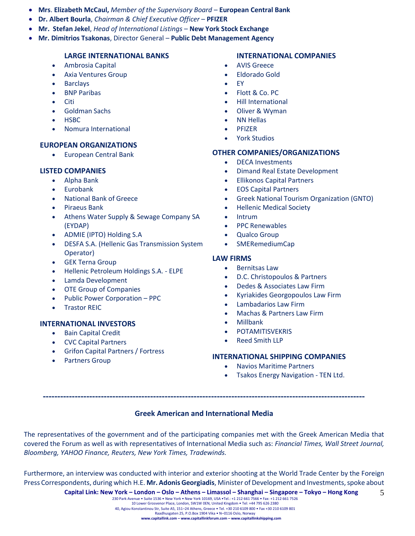- **Mrs**. **Elizabeth McCaul,** *Member of the Supervisory Board* **European Central Bank**
- **Dr. Albert Bourla**, *Chairman & Chief Executive Officer* **PFIZER**
- **Mr. Stefan Jekel**, *Head of International Listings* **New York Stock Exchange**
- **Mr. Dimitrios Tsakonas**, Director General **Public Debt Management Agency**

## **LARGE INTERNATIONAL BANKS**

- Ambrosia Capital
- Axia Ventures Group
- Barclays
- **BNP Paribas**
- Citi
- Goldman Sachs
- HSBC
- Nomura International

## **EUROPEAN ORGANIZATIONS**

• European Central Bank

## **LISTED COMPANIES**

- Alpha Bank
- Eurobank
- National Bank of Greece
- Piraeus Bank
- Athens Water Supply & Sewage Company SA (EYDAP)
- ADMIE (IPTO) Holding S.A
- DESFA S.A. (Hellenic Gas Transmission System Operator)
- GEK Terna Group
- Hellenic Petroleum Holdings S.A. ELPE
- Lamda Development
- OTE Group of Companies
- Public Power Corporation PPC
- Trastor REIC

## **INTERNATIONAL INVESTORS**

- Bain Capital Credit
- CVC Capital Partners
- Grifon Capital Partners / Fortress
- Partners Group

## **INTERNATIONAL COMPANIES**

- AVIS Greece
- Eldorado Gold
- EY
- Flott & Co. PC
- Hill International
- Oliver & Wyman
- NN Hellas
- PFIZER
- York Studios

# **OTHER COMPANIES/ORGANIZATIONS**

- DECA Investments
- Dimand Real Estate Development
- Ellikonos Capital Partners
- EOS Capital Partners
- Greek National Tourism Organization (GNTO)
- Hellenic Medical Society
- Intrum
- PPC Renewables
- Qualco Group
- SMERemediumCap

## **LAW FIRMS**

- Bernitsas Law
- D.C. Christopoulos & Partners
- Dedes & Associates Law Firm
- Kyriakides Georgopoulos Law Firm
- Lambadarios Law Firm
- Machas & Partners Law Firm
- Millbank
- **POTAMITISVEKRIS**
- Reed Smith LLP

#### **INTERNATIONAL SHIPPING COMPANIES**

- Navios Maritime Partners
- Tsakos Energy Navigation TEN Ltd.

## **Greek American and International Media**

**---------------------------------------------------------------------------------------------------------------**

The representatives of the government and of the participating companies met with the Greek American Media that covered the Forum as well as with representatives of International Media such as: *Financial Times, Wall Street Journal, Bloomberg, YAHOO Finance, Reuters, New York Times, Tradewinds.* 

Furthermore, an interview was conducted with interior and exterior shooting at the World Trade Center by the Foreign Press Correspondents, during which H.E. **Mr. Adonis Georgiadis**, Minister of Development and Investments, spoke about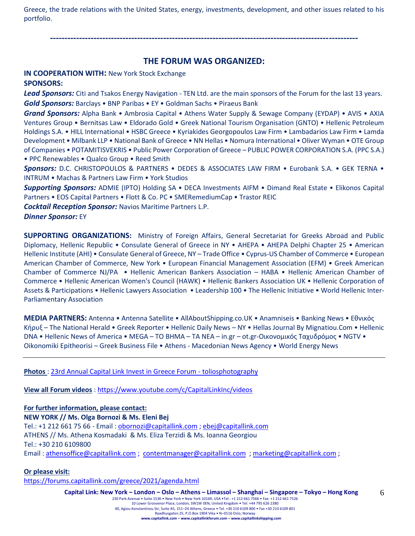Greece, the trade relations with the United States, energy, investments, development, and other issues related to his portfolio.

**----------------------------------------------------------------------------------------------------------**

# **THE FORUM WAS ORGANIZED:**

# **IN COOPERATION WITH:** New York Stock Exchange

# **SPONSORS:**

*Lead Sponsors:* Citi and Tsakos Energy Navigation - TEN Ltd. are the main sponsors of the Forum for the last 13 years. *Gold Sponsors:* Barclays • BNP Paribas • EY • Goldman Sachs • Piraeus Bank

*Grand Sponsors:* Alpha Bank • Ambrosia Capital • Athens Water Supply & Sewage Company (EYDAP) • AVIS • AXIA Ventures Group • Bernitsas Law • Eldorado Gold • Greek National Tourism Organisation (GNTO) • Hellenic Petroleum Holdings S.A. • HILL International • HSBC Greece • Kyriakides Georgopoulos Law Firm • Lambadarios Law Firm • Lamda Development • Milbank LLP • National Bank of Greece • NN Hellas • Nomura International • Oliver Wyman • OTE Group of Companies • POTAMITISVEKRIS • Public Power Corporation of Greece – PUBLIC POWER CORPORATION S.A. (PPC S.A.) • PPC Renewables • Qualco Group • Reed Smith

*Sponsors:* D.C. CHRISTOPOULOS & PARTNERS • DEDES & ASSOCIATES LAW FIRM • Eurobank S.A. • GEK TERNA • INTRUM • Machas & Partners Law Firm • York Studios

*Supporting Sponsors:* ADMIE (IPTO) Holding SA • DECA Investments AIFM • Dimand Real Estate • Elikonos Capital Partners • EOS Capital Partners • Flott & Co. PC • SMERemediumCap • Trastor REIC

*Cocktail Reception Sponsor:* Navios Maritime Partners L.P.

*Dinner Sponsor:* EY

**SUPPORTING ORGANIZATIONS:** Ministry of Foreign Affairs, General Secretariat for Greeks Abroad and Public Diplomacy, Hellenic Republic • Consulate General of Greece in NY • AHEPA • AHEPA Delphi Chapter 25 • American Hellenic Institute (AHI) • Consulate General of Greece, NY – Trade Office • Cyprus-US Chamber of Commerce • European American Chamber of Commerce, New York • European Financial Management Association (EFM) • Greek American Chamber of Commerce NJ/PA • Hellenic American Bankers Association – HABA • Hellenic American Chamber of Commerce • Hellenic American Women's Council (HAWK) • Hellenic Bankers Association UK • Hellenic Corporation of Assets & Participations • Hellenic Lawyers Association • Leadership 100 • The Hellenic Initiative • World Hellenic Inter-Parliamentary Association

**MEDIA PARTNERS:** Antenna • Antenna Satellite • AllAboutShipping.co.UK • Anamniseis • Banking News • Εθνικός Κήρυξ – The National Herald • Greek Reporter • Hellenic Daily News – NY • Hellas Journal By Mignatiou.Com • Hellenic DNA • Hellenic News of America • MEGA – TO BHMA – TA NEA – in.gr – ot.gr-Οικονομικός Ταχυδρόμος • NGTV • Oikonomiki Epitheorisi – Greek Business File • Athens - Macedonian News Agency • World Energy News

**Photos** : [23rd Annual Capital Link Invest in Greece Forum -](https://www.toliosphotography.com/ToliosEvents/CAPITAL-LINK-/23rd-Annual-Capital-Link-New-York-City/n-RHX6QD/) toliosphotography

**View all Forum videos** :<https://www.youtube.com/c/CapitalLinkInc/videos>

**For further information, please contact: NEW YORK // Ms. Olga Bornozi & Ms. Eleni Bej**  Tel.: +1 212 661 75 66 - Email : [obornozi@capitallink.com](mailto:obornozi@capitallink.com) [; ebej@capitallink.com](mailto:ebej@capitallink.com) ATHENS // Ms. Athena Kosmadaki & Ms. Eliza Terzidi & Ms. Ioanna Georgiou Tel.: +30 210 6109800 Email : [athensoffice@capitallink.com](mailto:athensoffice@capitallink.com) ; [contentmanager@capitallink.com](mailto:contentmanager@capitallink.com) ; marketing@capitallink.com ;

## **Or please visit:**

<https://forums.capitallink.com/greece/2021/agenda.html>

**Capital Link: New York – London – Oslo – Athens – Limassol – Shanghai – Singapore – Tokyo – Hong Kong**